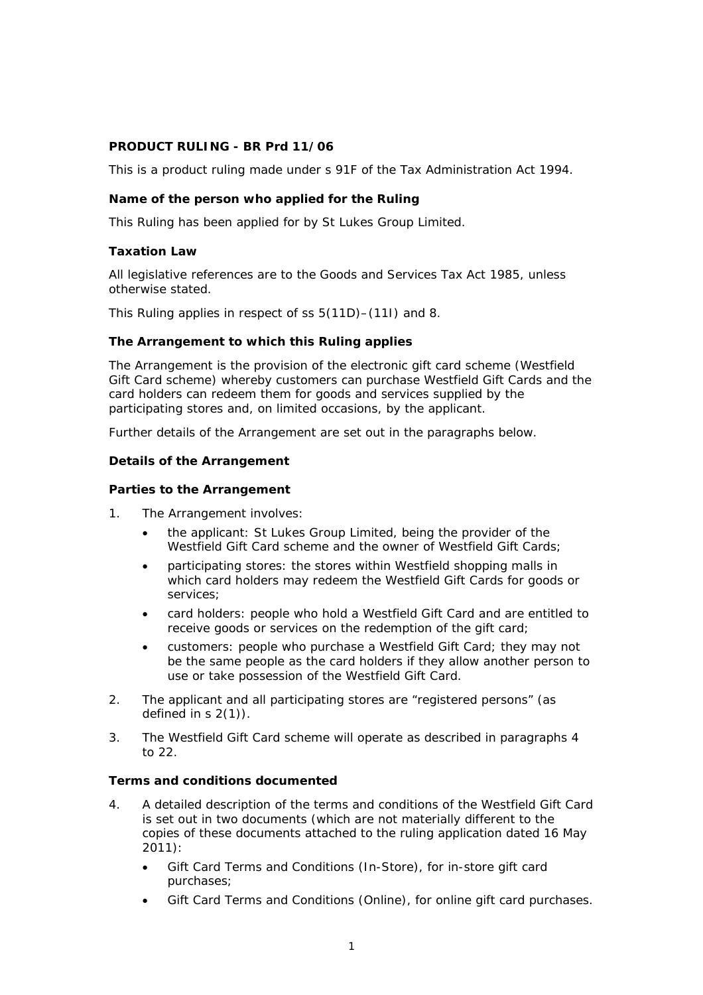## **PRODUCT RULING - BR Prd 11/06**

This is a product ruling made under s 91F of the Tax Administration Act 1994.

## **Name of the person who applied for the Ruling**

This Ruling has been applied for by St Lukes Group Limited.

## **Taxation Law**

All legislative references are to the Goods and Services Tax Act 1985, unless otherwise stated.

This Ruling applies in respect of ss 5(11D)–(11I) and 8.

## **The Arrangement to which this Ruling applies**

The Arrangement is the provision of the electronic gift card scheme (Westfield Gift Card scheme) whereby customers can purchase Westfield Gift Cards and the card holders can redeem them for goods and services supplied by the participating stores and, on limited occasions, by the applicant.

Further details of the Arrangement are set out in the paragraphs below.

### **Details of the Arrangement**

## *Parties to the Arrangement*

- 1. The Arrangement involves:
	- the applicant: St Lukes Group Limited, being the provider of the Westfield Gift Card scheme and the owner of Westfield Gift Cards;
	- participating stores: the stores within Westfield shopping malls in which card holders may redeem the Westfield Gift Cards for goods or services;
	- card holders: people who hold a Westfield Gift Card and are entitled to receive goods or services on the redemption of the gift card;
	- customers: people who purchase a Westfield Gift Card; they may not be the same people as the card holders if they allow another person to use or take possession of the Westfield Gift Card.
- 2. The applicant and all participating stores are "registered persons" (as defined in s 2(1)).
- 3. The Westfield Gift Card scheme will operate as described in paragraphs 4 to 22.

# *Terms and conditions documented*

- 4. A detailed description of the terms and conditions of the Westfield Gift Card is set out in two documents (which are not materially different to the copies of these documents attached to the ruling application dated 16 May 2011):
	- *Gift Card Terms and Conditions (In-Store)*, for in-store gift card purchases;
	- *Gift Card Terms and Conditions (Online)*, for online gift card purchases.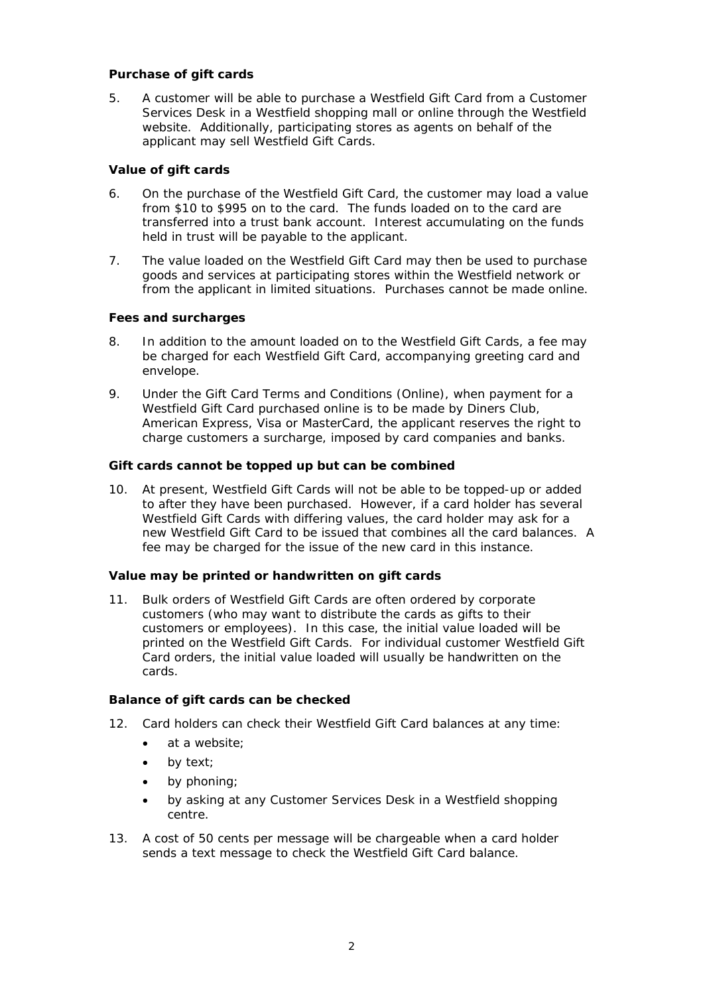## *Purchase of gift cards*

5. A customer will be able to purchase a Westfield Gift Card from a Customer Services Desk in a Westfield shopping mall or online through the Westfield website. Additionally, participating stores as agents on behalf of the applicant may sell Westfield Gift Cards.

## *Value of gift cards*

- 6. On the purchase of the Westfield Gift Card, the customer may load a value from \$10 to \$995 on to the card. The funds loaded on to the card are transferred into a trust bank account. Interest accumulating on the funds held in trust will be payable to the applicant.
- 7. The value loaded on the Westfield Gift Card may then be used to purchase goods and services at participating stores within the Westfield network or from the applicant in limited situations. Purchases cannot be made online.

## *Fees and surcharges*

- 8. In addition to the amount loaded on to the Westfield Gift Cards, a fee may be charged for each Westfield Gift Card, accompanying greeting card and envelope.
- 9. Under the *Gift Card Terms and Conditions (Online)*, when payment for a Westfield Gift Card purchased online is to be made by Diners Club, American Express, Visa or MasterCard, the applicant reserves the right to charge customers a surcharge, imposed by card companies and banks.

### *Gift cards cannot be topped up but can be combined*

10. At present, Westfield Gift Cards will not be able to be topped-up or added to after they have been purchased. However, if a card holder has several Westfield Gift Cards with differing values, the card holder may ask for a new Westfield Gift Card to be issued that combines all the card balances. A fee may be charged for the issue of the new card in this instance.

### *Value may be printed or handwritten on gift cards*

11. Bulk orders of Westfield Gift Cards are often ordered by corporate customers (who may want to distribute the cards as gifts to their customers or employees). In this case, the initial value loaded will be printed on the Westfield Gift Cards. For individual customer Westfield Gift Card orders, the initial value loaded will usually be handwritten on the cards.

### *Balance of gift cards can be checked*

- 12. Card holders can check their Westfield Gift Card balances at any time:
	- at a website:
	- by text;
	- by phoning;
	- by asking at any Customer Services Desk in a Westfield shopping centre.
- 13. A cost of 50 cents per message will be chargeable when a card holder sends a text message to check the Westfield Gift Card balance.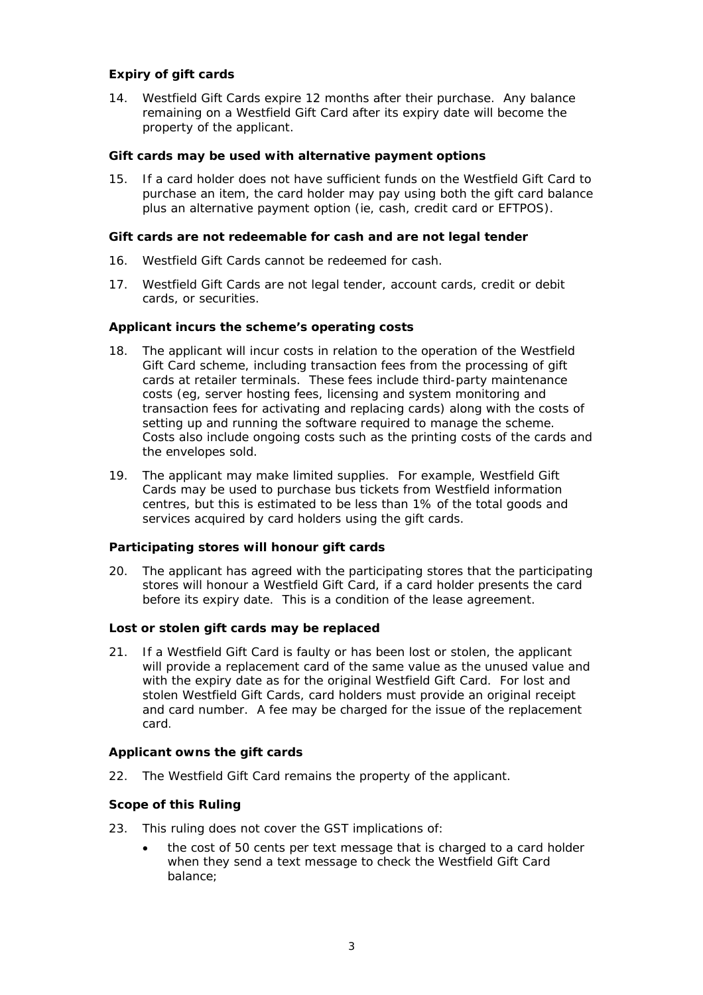# *Expiry of gift cards*

14. Westfield Gift Cards expire 12 months after their purchase. Any balance remaining on a Westfield Gift Card after its expiry date will become the property of the applicant.

## *Gift cards may be used with alternative payment options*

15. If a card holder does not have sufficient funds on the Westfield Gift Card to purchase an item, the card holder may pay using both the gift card balance plus an alternative payment option (ie, cash, credit card or EFTPOS).

## *Gift cards are not redeemable for cash and are not legal tender*

- 16. Westfield Gift Cards cannot be redeemed for cash.
- 17. Westfield Gift Cards are not legal tender, account cards, credit or debit cards, or securities.

## *Applicant incurs the scheme's operating costs*

- 18. The applicant will incur costs in relation to the operation of the Westfield Gift Card scheme, including transaction fees from the processing of gift cards at retailer terminals. These fees include third-party maintenance costs (eg, server hosting fees, licensing and system monitoring and transaction fees for activating and replacing cards) along with the costs of setting up and running the software required to manage the scheme. Costs also include ongoing costs such as the printing costs of the cards and the envelopes sold.
- 19. The applicant may make limited supplies. For example, Westfield Gift Cards may be used to purchase bus tickets from Westfield information centres, but this is estimated to be less than 1% of the total goods and services acquired by card holders using the gift cards.

### *Participating stores will honour gift cards*

20. The applicant has agreed with the participating stores that the participating stores will honour a Westfield Gift Card, if a card holder presents the card before its expiry date. This is a condition of the lease agreement.

### *Lost or stolen gift cards may be replaced*

21. If a Westfield Gift Card is faulty or has been lost or stolen, the applicant will provide a replacement card of the same value as the unused value and with the expiry date as for the original Westfield Gift Card. For lost and stolen Westfield Gift Cards, card holders must provide an original receipt and card number. A fee may be charged for the issue of the replacement card.

## *Applicant owns the gift cards*

22. The Westfield Gift Card remains the property of the applicant.

# *Scope of this Ruling*

- 23. This ruling does not cover the GST implications of:
	- the cost of 50 cents per text message that is charged to a card holder when they send a text message to check the Westfield Gift Card balance;